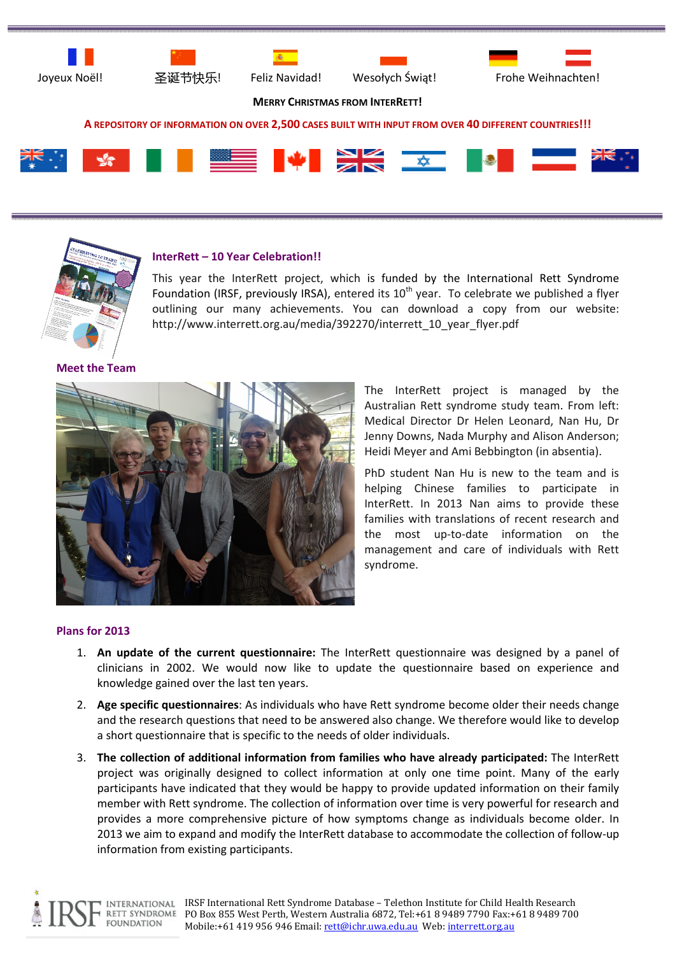







MERRY CHRISTMAS FROM INTERRETT!

### A REPOSITORY OF INFORMATION ON OVER 2,500 CASES BUILT WITH INPUT FROM OVER 40 DIFFERENT COUNTRIES!!!





# InterRett – 10 Year Celebration!!

This year the InterRett project, which is funded by the International Rett Syndrome Foundation (IRSF, previously IRSA), entered its  $10<sup>th</sup>$  year. To celebrate we published a flyer outlining our many achievements. You can download a copy from our website: http://www.interrett.org.au/media/392270/interrett\_10\_year\_flyer.pdf

### Meet the Team



The InterRett project is managed by the Australian Rett syndrome study team. From left: Medical Director Dr Helen Leonard, Nan Hu, Dr Jenny Downs, Nada Murphy and Alison Anderson; Heidi Meyer and Ami Bebbington (in absentia).

PhD student Nan Hu is new to the team and is helping Chinese families to participate in InterRett. In 2013 Nan aims to provide these families with translations of recent research and the most up-to-date information on the management and care of individuals with Rett syndrome.

#### Plans for 2013

- 1. An update of the current questionnaire: The InterRett questionnaire was designed by a panel of clinicians in 2002. We would now like to update the questionnaire based on experience and knowledge gained over the last ten years.
- 2. Age specific questionnaires: As individuals who have Rett syndrome become older their needs change and the research questions that need to be answered also change. We therefore would like to develop a short questionnaire that is specific to the needs of older individuals.
- 3. The collection of additional information from families who have already participated: The InterRett project was originally designed to collect information at only one time point. Many of the early participants have indicated that they would be happy to provide updated information on their family member with Rett syndrome. The collection of information over time is very powerful for research and provides a more comprehensive picture of how symptoms change as individuals become older. In 2013 we aim to expand and modify the InterRett database to accommodate the collection of follow-up information from existing participants.

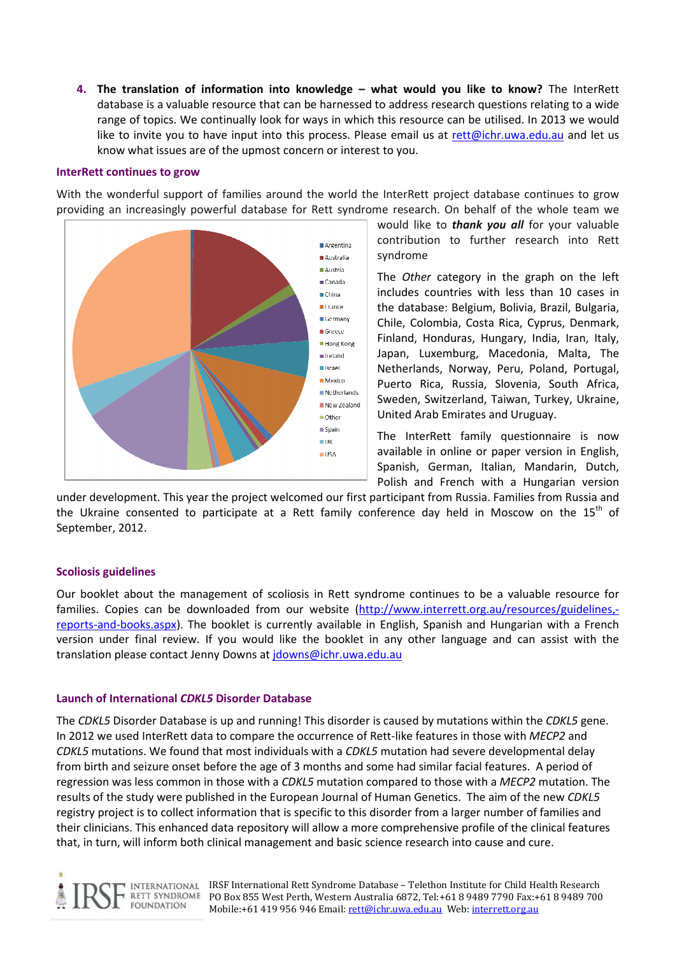4. The translation of information into knowledge – what would you like to know? The InterRett database is a valuable resource that can be harnessed to address research questions relating to a wide range of topics. We continually look for ways in which this resource can be utilised. In 2013 we would like to invite you to have input into this process. Please email us at rett@ichr.uwa.edu.au and let us know what issues are of the upmost concern or interest to you.

# InterRett continues to grow

With the wonderful support of families around the world the InterRett project database continues to grow providing an increasingly powerful database for Rett syndrome research. On behalf of the whole team we



would like to **thank you all** for your valuable contribution to further research into Rett syndrome

The Other category in the graph on the left includes countries with less than 10 cases in the database: Belgium, Bolivia, Brazil, Bulgaria, Chile, Colombia, Costa Rica, Cyprus, Denmark, Finland, Honduras, Hungary, India, Iran, Italy, Japan, Luxemburg, Macedonia, Malta, The Netherlands, Norway, Peru, Poland, Portugal, Puerto Rica, Russia, Slovenia, South Africa, Sweden, Switzerland, Taiwan, Turkey, Ukraine, United Arab Emirates and Uruguay.

The InterRett family questionnaire is now available in online or paper version in English, Spanish, German, Italian, Mandarin, Dutch, Polish and French with a Hungarian version

under development. This year the project welcomed our first participant from Russia. Families from Russia and the Ukraine consented to participate at a Rett family conference day held in Moscow on the  $15<sup>th</sup>$  of September, 2012.

# Scoliosis guidelines

Our booklet about the management of scoliosis in Rett syndrome continues to be a valuable resource for families. Copies can be downloaded from our website (http://www.interrett.org.au/resources/guidelines, reports-and-books.aspx). The booklet is currently available in English, Spanish and Hungarian with a French version under final review. If you would like the booklet in any other language and can assist with the translation please contact Jenny Downs at jdowns@ichr.uwa.edu.au

#### Launch of International CDKL5 Disorder Database

The CDKL5 Disorder Database is up and running! This disorder is caused by mutations within the CDKL5 gene. In 2012 we used InterRett data to compare the occurrence of Rett-like features in those with MECP2 and CDKL5 mutations. We found that most individuals with a CDKL5 mutation had severe developmental delay from birth and seizure onset before the age of 3 months and some had similar facial features. A period of regression was less common in those with a CDKL5 mutation compared to those with a MECP2 mutation. The results of the study were published in the European Journal of Human Genetics. The aim of the new CDKL5 registry project is to collect information that is specific to this disorder from a larger number of families and their clinicians. This enhanced data repository will allow a more comprehensive profile of the clinical features that, in turn, will inform both clinical management and basic science research into cause and cure.



IRSF International Rett Syndrome Database – Telethon Institute for Child Health Research PO Box 855 West Perth, Western Australia 6872, Tel:+61 8 9489 7790 Fax:+61 8 9489 700 Mobile:+61 419 956 946 Email: rett@ichr.uwa.edu.au Web: interrett.org.au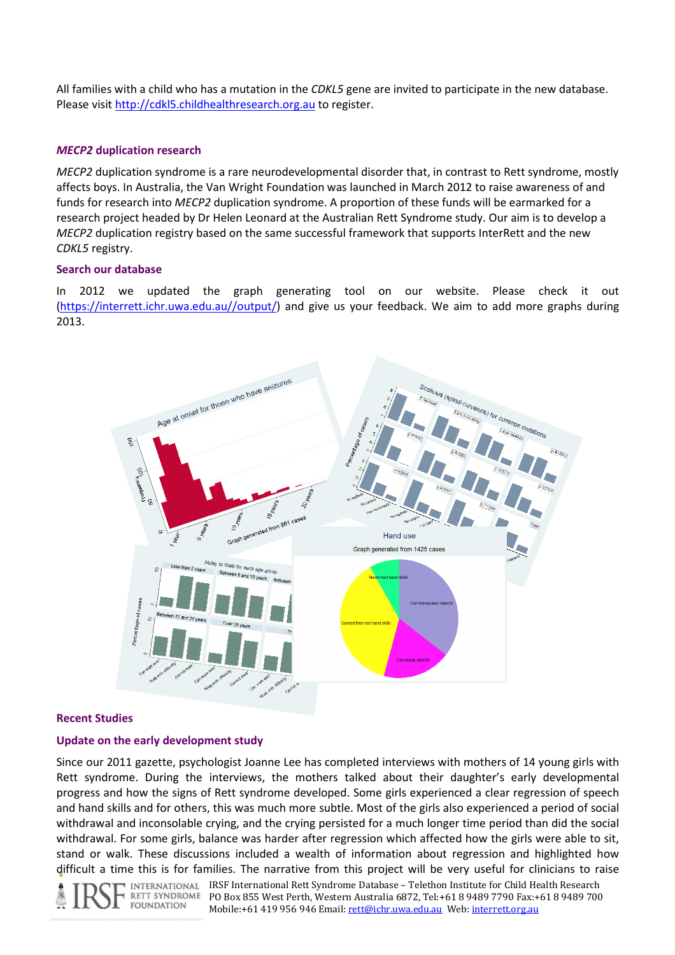All families with a child who has a mutation in the CDKL5 gene are invited to participate in the new database. Please visit http://cdkl5.childhealthresearch.org.au to register.

# MECP2 duplication research

MECP2 duplication syndrome is a rare neurodevelopmental disorder that, in contrast to Rett syndrome, mostly affects boys. In Australia, the Van Wright Foundation was launched in March 2012 to raise awareness of and funds for research into MECP2 duplication syndrome. A proportion of these funds will be earmarked for a research project headed by Dr Helen Leonard at the Australian Rett Syndrome study. Our aim is to develop a MECP2 duplication registry based on the same successful framework that supports InterRett and the new CDKL5 registry.

# Search our database

In 2012 we updated the graph generating tool on our website. Please check it out (https://interrett.ichr.uwa.edu.au//output/) and give us your feedback. We aim to add more graphs during 2013.



# Recent Studies

# Update on the early development study

Since our 2011 gazette, psychologist Joanne Lee has completed interviews with mothers of 14 young girls with Rett syndrome. During the interviews, the mothers talked about their daughter's early developmental progress and how the signs of Rett syndrome developed. Some girls experienced a clear regression of speech and hand skills and for others, this was much more subtle. Most of the girls also experienced a period of social withdrawal and inconsolable crying, and the crying persisted for a much longer time period than did the social withdrawal. For some girls, balance was harder after regression which affected how the girls were able to sit, stand or walk. These discussions included a wealth of information about regression and highlighted how difficult a time this is for families. The narrative from this project will be very useful for clinicians to raise

RETT SYNDROME **FOUNDATION** 

IRSF International Rett Syndrome Database – Telethon Institute for Child Health Research PO Box 855 West Perth, Western Australia 6872, Tel:+61 8 9489 7790 Fax:+61 8 9489 700 Mobile:+61 419 956 946 Email: rett@ichr.uwa.edu.au Web: interrett.org.au